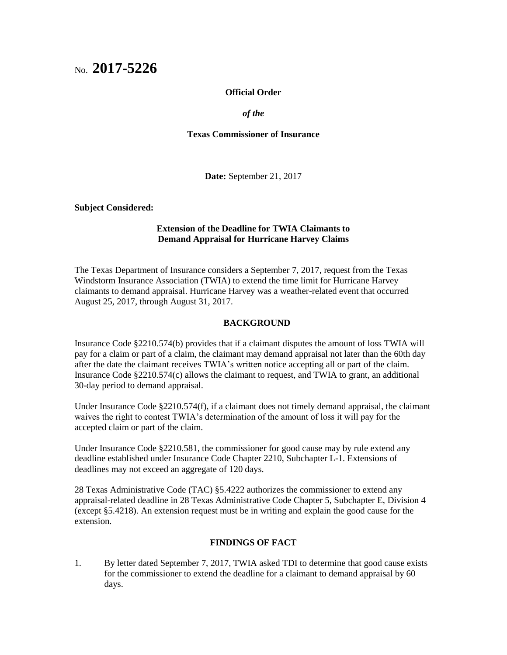# No. **2017-5226**

## **Official Order**

*of the*

### **Texas Commissioner of Insurance**

**Date:** September 21, 2017

**Subject Considered:**

# **Extension of the Deadline for TWIA Claimants to Demand Appraisal for Hurricane Harvey Claims**

The Texas Department of Insurance considers a September 7, 2017, request from the Texas Windstorm Insurance Association (TWIA) to extend the time limit for Hurricane Harvey claimants to demand appraisal. Hurricane Harvey was a weather-related event that occurred August 25, 2017, through August 31, 2017.

#### **BACKGROUND**

Insurance Code §2210.574(b) provides that if a claimant disputes the amount of loss TWIA will pay for a claim or part of a claim, the claimant may demand appraisal not later than the 60th day after the date the claimant receives TWIA's written notice accepting all or part of the claim. Insurance Code §2210.574(c) allows the claimant to request, and TWIA to grant, an additional 30-day period to demand appraisal.

Under Insurance Code §2210.574(f), if a claimant does not timely demand appraisal, the claimant waives the right to contest TWIA's determination of the amount of loss it will pay for the accepted claim or part of the claim.

Under Insurance Code §2210.581, the commissioner for good cause may by rule extend any deadline established under Insurance Code Chapter 2210, Subchapter L-1. Extensions of deadlines may not exceed an aggregate of 120 days.

28 Texas Administrative Code (TAC) §5.4222 authorizes the commissioner to extend any appraisal-related deadline in 28 Texas Administrative Code Chapter 5, Subchapter E, Division 4 (except §5.4218). An extension request must be in writing and explain the good cause for the extension.

## **FINDINGS OF FACT**

1. By letter dated September 7, 2017, TWIA asked TDI to determine that good cause exists for the commissioner to extend the deadline for a claimant to demand appraisal by 60 days.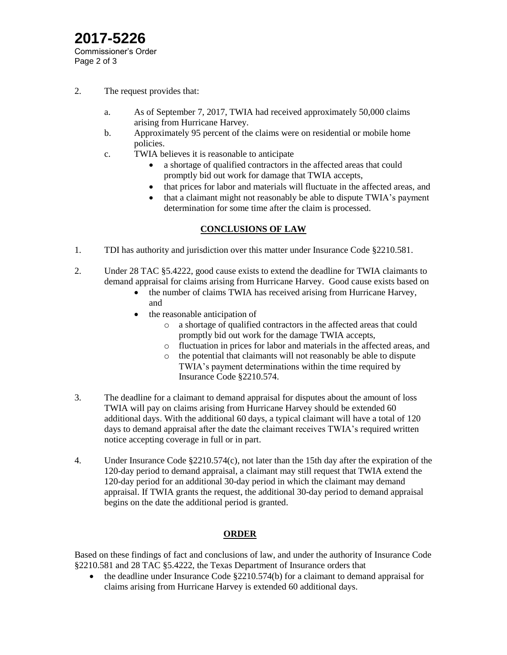# **2017-5226** Commissioner's Order Page 2 of 3

- 2. The request provides that:
	- a. As of September 7, 2017, TWIA had received approximately 50,000 claims arising from Hurricane Harvey.
	- b. Approximately 95 percent of the claims were on residential or mobile home policies.
	- c. TWIA believes it is reasonable to anticipate
		- a shortage of qualified contractors in the affected areas that could promptly bid out work for damage that TWIA accepts,
		- that prices for labor and materials will fluctuate in the affected areas, and
		- that a claimant might not reasonably be able to dispute TWIA's payment determination for some time after the claim is processed.

# **CONCLUSIONS OF LAW**

- 1. TDI has authority and jurisdiction over this matter under Insurance Code §2210.581.
- 2. Under 28 TAC §5.4222, good cause exists to extend the deadline for TWIA claimants to demand appraisal for claims arising from Hurricane Harvey. Good cause exists based on
	- the number of claims TWIA has received arising from Hurricane Harvey, and
	- the reasonable anticipation of
		- o a shortage of qualified contractors in the affected areas that could promptly bid out work for the damage TWIA accepts,
		- o fluctuation in prices for labor and materials in the affected areas, and
		- o the potential that claimants will not reasonably be able to dispute TWIA's payment determinations within the time required by Insurance Code §2210.574.
- 3. The deadline for a claimant to demand appraisal for disputes about the amount of loss TWIA will pay on claims arising from Hurricane Harvey should be extended 60 additional days. With the additional 60 days, a typical claimant will have a total of 120 days to demand appraisal after the date the claimant receives TWIA's required written notice accepting coverage in full or in part.
- 4. Under Insurance Code §2210.574(c), not later than the 15th day after the expiration of the 120-day period to demand appraisal, a claimant may still request that TWIA extend the 120-day period for an additional 30-day period in which the claimant may demand appraisal. If TWIA grants the request, the additional 30-day period to demand appraisal begins on the date the additional period is granted.

# **ORDER**

Based on these findings of fact and conclusions of law, and under the authority of Insurance Code §2210.581 and 28 TAC §5.4222, the Texas Department of Insurance orders that

 the deadline under Insurance Code §2210.574(b) for a claimant to demand appraisal for claims arising from Hurricane Harvey is extended 60 additional days.